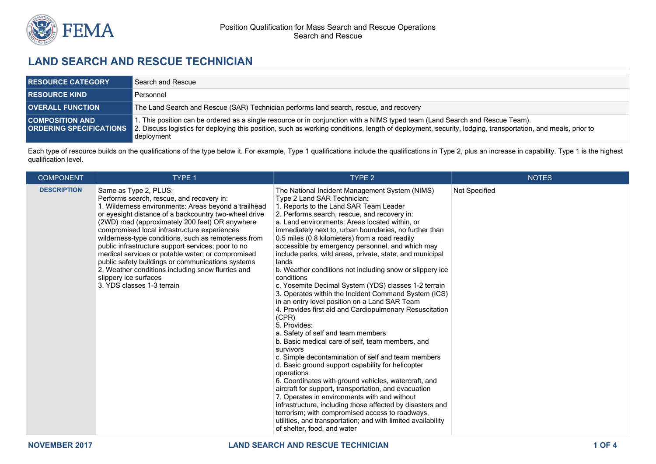

# **LAND SEARCH AND RESCUE TECHNICIAN**

| <b>RESOURCE CATEGORY</b> | Search and Rescue                                                                                                                                                                                                                                                                                                                       |
|--------------------------|-----------------------------------------------------------------------------------------------------------------------------------------------------------------------------------------------------------------------------------------------------------------------------------------------------------------------------------------|
| <b>RESOURCE KIND</b>     | Personnel                                                                                                                                                                                                                                                                                                                               |
| <b>OVERALL FUNCTION</b>  | The Land Search and Rescue (SAR) Technician performs land search, rescue, and recovery                                                                                                                                                                                                                                                  |
| <b>COMPOSITION AND</b>   | 1. This position can be ordered as a single resource or in conjunction with a NIMS typed team (Land Search and Rescue Team).<br><b>ORDERING SPECIFICATIONS</b> 2. Discuss logistics for deploying this position, such as working conditions, length of deployment, security, lodging, transportation, and meals, prior to<br>deployment |

Each type of resource builds on the qualifications of the type below it. For example, Type 1 qualifications include the qualifications in Type 2, plus an increase in capability. Type 1 is the highest qualification level.

| <b>COMPONENT</b>   | TYPE 1                                                                                                                                                                                                                                                                                                                                                                                                                                                                                                                                                                                                                    | TYPE <sub>2</sub>                                                                                                                                                                                                                                                                                                                                                                                                                                                                                                                                                                                                                                                                                                                                                                                                                                                                                                                                                                                                                                                                                                                                                                                                                                                                                                                                                                                            | <b>NOTES</b>  |
|--------------------|---------------------------------------------------------------------------------------------------------------------------------------------------------------------------------------------------------------------------------------------------------------------------------------------------------------------------------------------------------------------------------------------------------------------------------------------------------------------------------------------------------------------------------------------------------------------------------------------------------------------------|--------------------------------------------------------------------------------------------------------------------------------------------------------------------------------------------------------------------------------------------------------------------------------------------------------------------------------------------------------------------------------------------------------------------------------------------------------------------------------------------------------------------------------------------------------------------------------------------------------------------------------------------------------------------------------------------------------------------------------------------------------------------------------------------------------------------------------------------------------------------------------------------------------------------------------------------------------------------------------------------------------------------------------------------------------------------------------------------------------------------------------------------------------------------------------------------------------------------------------------------------------------------------------------------------------------------------------------------------------------------------------------------------------------|---------------|
| <b>DESCRIPTION</b> | Same as Type 2, PLUS:<br>Performs search, rescue, and recovery in:<br>1. Wilderness environments: Areas beyond a trailhead<br>or eyesight distance of a backcountry two-wheel drive<br>(2WD) road (approximately 200 feet) OR anywhere<br>compromised local infrastructure experiences<br>wilderness-type conditions, such as remoteness from<br>public infrastructure support services; poor to no<br>medical services or potable water; or compromised<br>public safety buildings or communications systems<br>2. Weather conditions including snow flurries and<br>slippery ice surfaces<br>3. YDS classes 1-3 terrain | The National Incident Management System (NIMS)<br>Type 2 Land SAR Technician:<br>1. Reports to the Land SAR Team Leader<br>2. Performs search, rescue, and recovery in:<br>a. Land environments: Areas located within, or<br>immediately next to, urban boundaries, no further than<br>0.5 miles (0.8 kilometers) from a road readily<br>accessible by emergency personnel, and which may<br>include parks, wild areas, private, state, and municipal<br>lands<br>b. Weather conditions not including snow or slippery ice<br>conditions<br>c. Yosemite Decimal System (YDS) classes 1-2 terrain<br>3. Operates within the Incident Command System (ICS)<br>in an entry level position on a Land SAR Team<br>4. Provides first aid and Cardiopulmonary Resuscitation<br>(CPR)<br>5. Provides:<br>a. Safety of self and team members<br>b. Basic medical care of self, team members, and<br>survivors<br>c. Simple decontamination of self and team members<br>d. Basic ground support capability for helicopter<br>operations<br>6. Coordinates with ground vehicles, watercraft, and<br>aircraft for support, transportation, and evacuation<br>7. Operates in environments with and without<br>infrastructure, including those affected by disasters and<br>terrorism; with compromised access to roadways,<br>utilities, and transportation; and with limited availability<br>of shelter, food, and water | Not Specified |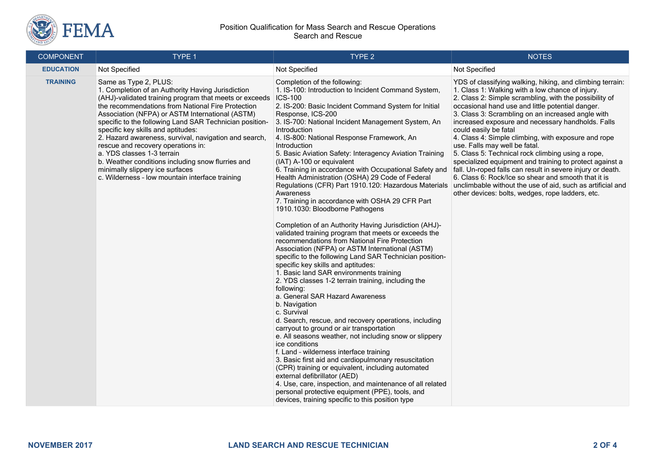

#### Position Qualification for Mass Search and Rescue Operations Search and Rescue

| <b>COMPONENT</b> | TYPE 1                                                                                                                                                                                                                                                                                                                                                                                                                                                                                                                                                                                                                | TYPE 2                                                                                                                                                                                                                                                                                                                                                                                                                                                                                                                                                                                                                                                                                                                                                                                                                                                                                                                                                                                                                                                                                                                                                                                                                                                                                                                                                                                                                                                                                                                                                                                                                                                                                                                                     | <b>NOTES</b>                                                                                                                                                                                                                                                                                                                                                                                                                                                                                                                                                                                                                                                                                                                                                                                                  |
|------------------|-----------------------------------------------------------------------------------------------------------------------------------------------------------------------------------------------------------------------------------------------------------------------------------------------------------------------------------------------------------------------------------------------------------------------------------------------------------------------------------------------------------------------------------------------------------------------------------------------------------------------|--------------------------------------------------------------------------------------------------------------------------------------------------------------------------------------------------------------------------------------------------------------------------------------------------------------------------------------------------------------------------------------------------------------------------------------------------------------------------------------------------------------------------------------------------------------------------------------------------------------------------------------------------------------------------------------------------------------------------------------------------------------------------------------------------------------------------------------------------------------------------------------------------------------------------------------------------------------------------------------------------------------------------------------------------------------------------------------------------------------------------------------------------------------------------------------------------------------------------------------------------------------------------------------------------------------------------------------------------------------------------------------------------------------------------------------------------------------------------------------------------------------------------------------------------------------------------------------------------------------------------------------------------------------------------------------------------------------------------------------------|---------------------------------------------------------------------------------------------------------------------------------------------------------------------------------------------------------------------------------------------------------------------------------------------------------------------------------------------------------------------------------------------------------------------------------------------------------------------------------------------------------------------------------------------------------------------------------------------------------------------------------------------------------------------------------------------------------------------------------------------------------------------------------------------------------------|
| <b>EDUCATION</b> | Not Specified                                                                                                                                                                                                                                                                                                                                                                                                                                                                                                                                                                                                         | Not Specified                                                                                                                                                                                                                                                                                                                                                                                                                                                                                                                                                                                                                                                                                                                                                                                                                                                                                                                                                                                                                                                                                                                                                                                                                                                                                                                                                                                                                                                                                                                                                                                                                                                                                                                              | Not Specified                                                                                                                                                                                                                                                                                                                                                                                                                                                                                                                                                                                                                                                                                                                                                                                                 |
| <b>TRAINING</b>  | Same as Type 2, PLUS:<br>1. Completion of an Authority Having Jurisdiction<br>(AHJ)-validated training program that meets or exceeds<br>the recommendations from National Fire Protection<br>Association (NFPA) or ASTM International (ASTM)<br>specific to the following Land SAR Technician position-<br>specific key skills and aptitudes:<br>2. Hazard awareness, survival, navigation and search,<br>rescue and recovery operations in:<br>a. YDS classes 1-3 terrain<br>b. Weather conditions including snow flurries and<br>minimally slippery ice surfaces<br>c. Wilderness - low mountain interface training | Completion of the following:<br>1. IS-100: Introduction to Incident Command System,<br><b>ICS-100</b><br>2. IS-200: Basic Incident Command System for Initial<br>Response, ICS-200<br>3. IS-700: National Incident Management System, An<br>Introduction<br>4. IS-800: National Response Framework, An<br>Introduction<br>5. Basic Aviation Safety: Interagency Aviation Training<br>(IAT) A-100 or equivalent<br>6. Training in accordance with Occupational Safety and<br>Health Administration (OSHA) 29 Code of Federal<br>Regulations (CFR) Part 1910.120: Hazardous Materials<br>Awareness<br>7. Training in accordance with OSHA 29 CFR Part<br>1910.1030: Bloodborne Pathogens<br>Completion of an Authority Having Jurisdiction (AHJ)-<br>validated training program that meets or exceeds the<br>recommendations from National Fire Protection<br>Association (NFPA) or ASTM International (ASTM)<br>specific to the following Land SAR Technician position-<br>specific key skills and aptitudes:<br>1. Basic land SAR environments training<br>2. YDS classes 1-2 terrain training, including the<br>following:<br>a. General SAR Hazard Awareness<br>b. Navigation<br>c. Survival<br>d. Search, rescue, and recovery operations, including<br>carryout to ground or air transportation<br>e. All seasons weather, not including snow or slippery<br>ice conditions<br>f. Land - wilderness interface training<br>3. Basic first aid and cardiopulmonary resuscitation<br>(CPR) training or equivalent, including automated<br>external defibrillator (AED)<br>4. Use, care, inspection, and maintenance of all related<br>personal protective equipment (PPE), tools, and<br>devices, training specific to this position type | YDS of classifying walking, hiking, and climbing terrain:<br>1. Class 1: Walking with a low chance of injury.<br>2. Class 2: Simple scrambling, with the possibility of<br>occasional hand use and little potential danger.<br>3. Class 3: Scrambling on an increased angle with<br>increased exposure and necessary handholds. Falls<br>could easily be fatal<br>4. Class 4: Simple climbing, with exposure and rope<br>use. Falls may well be fatal.<br>5. Class 5: Technical rock climbing using a rope,<br>specialized equipment and training to protect against a<br>fall. Un-roped falls can result in severe injury or death.<br>6. Class 6: Rock/Ice so shear and smooth that it is<br>unclimbable without the use of aid, such as artificial and<br>other devices: bolts, wedges, rope ladders, etc. |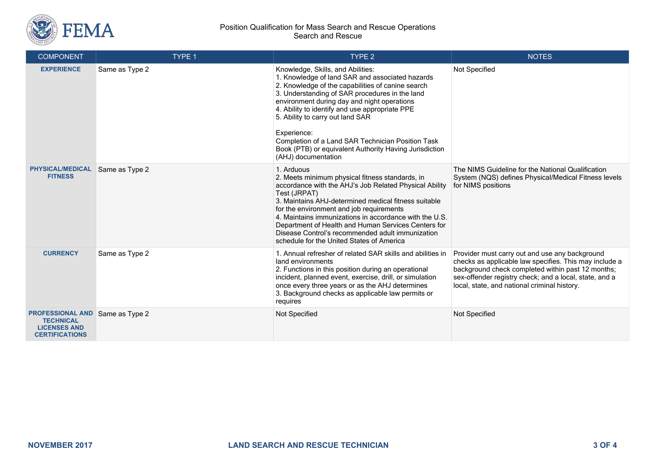

#### Position Qualification for Mass Search and Rescue Operations Search and Rescue

| <b>COMPONENT</b>                                                                            | TYPE 1         | TYPE <sub>2</sub>                                                                                                                                                                                                                                                                                                                                                                                                                                                                     | <b>NOTES</b>                                                                                                                                                                                                                                                            |
|---------------------------------------------------------------------------------------------|----------------|---------------------------------------------------------------------------------------------------------------------------------------------------------------------------------------------------------------------------------------------------------------------------------------------------------------------------------------------------------------------------------------------------------------------------------------------------------------------------------------|-------------------------------------------------------------------------------------------------------------------------------------------------------------------------------------------------------------------------------------------------------------------------|
| <b>EXPERIENCE</b>                                                                           | Same as Type 2 | Knowledge, Skills, and Abilities:<br>1. Knowledge of land SAR and associated hazards<br>2. Knowledge of the capabilities of canine search<br>3. Understanding of SAR procedures in the land<br>environment during day and night operations<br>4. Ability to identify and use appropriate PPE<br>5. Ability to carry out land SAR<br>Experience:<br>Completion of a Land SAR Technician Position Task<br>Book (PTB) or equivalent Authority Having Jurisdiction<br>(AHJ) documentation | Not Specified                                                                                                                                                                                                                                                           |
| <b>PHYSICAL/MEDICAL</b><br><b>FITNESS</b>                                                   | Same as Type 2 | 1. Arduous<br>2. Meets minimum physical fitness standards, in<br>accordance with the AHJ's Job Related Physical Ability<br>Test (JRPAT)<br>3. Maintains AHJ-determined medical fitness suitable<br>for the environment and job requirements<br>4. Maintains immunizations in accordance with the U.S.<br>Department of Health and Human Services Centers for<br>Disease Control's recommended adult immunization<br>schedule for the United States of America                         | The NIMS Guideline for the National Qualification<br>System (NQS) defines Physical/Medical Fitness levels<br>for NIMS positions                                                                                                                                         |
| <b>CURRENCY</b>                                                                             | Same as Type 2 | 1. Annual refresher of related SAR skills and abilities in<br>land environments<br>2. Functions in this position during an operational<br>incident, planned event, exercise, drill, or simulation<br>once every three years or as the AHJ determines<br>3. Background checks as applicable law permits or<br>requires                                                                                                                                                                 | Provider must carry out and use any background<br>checks as applicable law specifies. This may include a<br>background check completed within past 12 months;<br>sex-offender registry check; and a local, state, and a<br>local, state, and national criminal history. |
| <b>PROFESSIONAL AND</b><br><b>TECHNICAL</b><br><b>LICENSES AND</b><br><b>CERTIFICATIONS</b> | Same as Type 2 | Not Specified                                                                                                                                                                                                                                                                                                                                                                                                                                                                         | Not Specified                                                                                                                                                                                                                                                           |